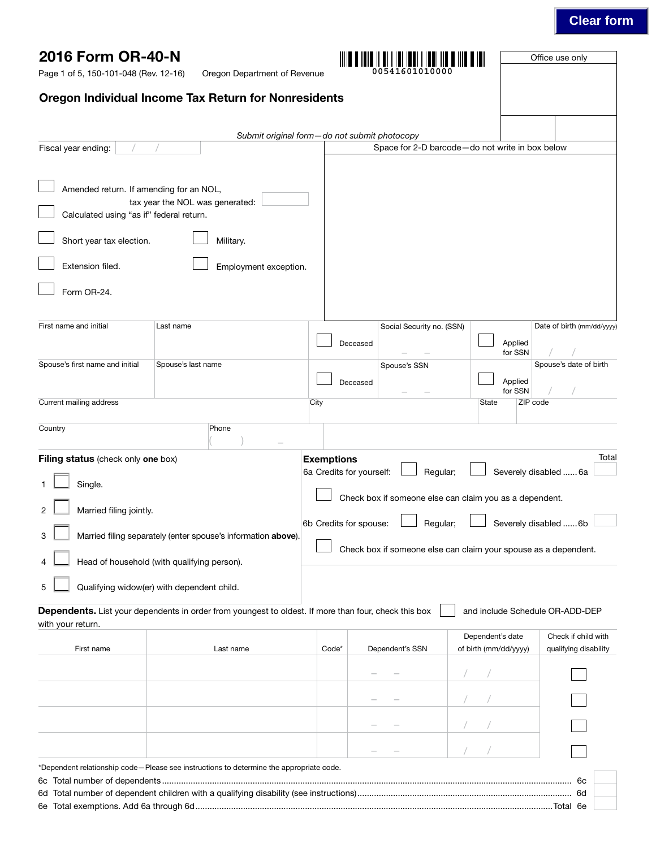# **Clear form**

| 2016 Form OR-40-N<br>Page 1 of 5, 150-101-048 (Rev. 12-16)                                                                                                                                                      | Oregon Department of Revenue                                                                                 |                                                    |                                                       |                                                                                                                            | Office use only                                      |
|-----------------------------------------------------------------------------------------------------------------------------------------------------------------------------------------------------------------|--------------------------------------------------------------------------------------------------------------|----------------------------------------------------|-------------------------------------------------------|----------------------------------------------------------------------------------------------------------------------------|------------------------------------------------------|
|                                                                                                                                                                                                                 | Oregon Individual Income Tax Return for Nonresidents                                                         |                                                    |                                                       |                                                                                                                            |                                                      |
|                                                                                                                                                                                                                 |                                                                                                              |                                                    |                                                       |                                                                                                                            |                                                      |
| Fiscal year ending:                                                                                                                                                                                             |                                                                                                              |                                                    | Submit original form-do not submit photocopy          | Space for 2-D barcode-do not write in box below                                                                            |                                                      |
| Amended return. If amending for an NOL,<br>Calculated using "as if" federal return.<br>Short year tax election.<br>Extension filed.<br>Form OR-24.<br>First name and initial<br>Spouse's first name and initial | tax year the NOL was generated:<br>Military.<br>Employment exception.<br>Last name<br>Spouse's last name     |                                                    | Social Security no. (SSN)<br>Deceased<br>Spouse's SSN | Applied<br>for SSN                                                                                                         | Date of birth (mm/dd/yyyy)<br>Spouse's date of birth |
|                                                                                                                                                                                                                 |                                                                                                              |                                                    | Deceased                                              | Applied                                                                                                                    |                                                      |
| Current mailing address                                                                                                                                                                                         |                                                                                                              | City                                               |                                                       | for SSN<br>ZIP code<br>State                                                                                               |                                                      |
| Country<br>Filing status (check only one box)                                                                                                                                                                   | Phone                                                                                                        | <b>Exemptions</b>                                  |                                                       |                                                                                                                            | Total                                                |
| Single.<br>Married filing jointly.<br>3                                                                                                                                                                         | Married filing separately (enter spouse's information above).<br>Head of household (with qualifying person). | 6a Credits for yourself:<br>6b Credits for spouse: | Regular;<br>Regular;                                  | Check box if someone else can claim you as a dependent.<br>Check box if someone else can claim your spouse as a dependent. | Severely disabled  6a<br>Severely disabled  6b       |
| 5                                                                                                                                                                                                               | Qualifying widow(er) with dependent child.                                                                   |                                                    |                                                       |                                                                                                                            |                                                      |
| with your return.                                                                                                                                                                                               | Dependents. List your dependents in order from youngest to oldest. If more than four, check this box         |                                                    |                                                       | and include Schedule OR-ADD-DEP                                                                                            |                                                      |
| First name                                                                                                                                                                                                      | Last name                                                                                                    | Code*                                              | Dependent's SSN                                       | Dependent's date<br>of birth (mm/dd/yyyy)                                                                                  | Check if child with<br>qualifying disability         |
|                                                                                                                                                                                                                 |                                                                                                              |                                                    |                                                       |                                                                                                                            |                                                      |
|                                                                                                                                                                                                                 |                                                                                                              |                                                    |                                                       |                                                                                                                            |                                                      |
|                                                                                                                                                                                                                 |                                                                                                              |                                                    |                                                       |                                                                                                                            |                                                      |
|                                                                                                                                                                                                                 |                                                                                                              |                                                    |                                                       |                                                                                                                            |                                                      |
|                                                                                                                                                                                                                 | *Dependent relationship code–Please see instructions to determine the appropriate code.                      |                                                    |                                                       |                                                                                                                            | 6с                                                   |

6e Total exemptions. Add 6a through 6d......................................................................................................................................................Total 6e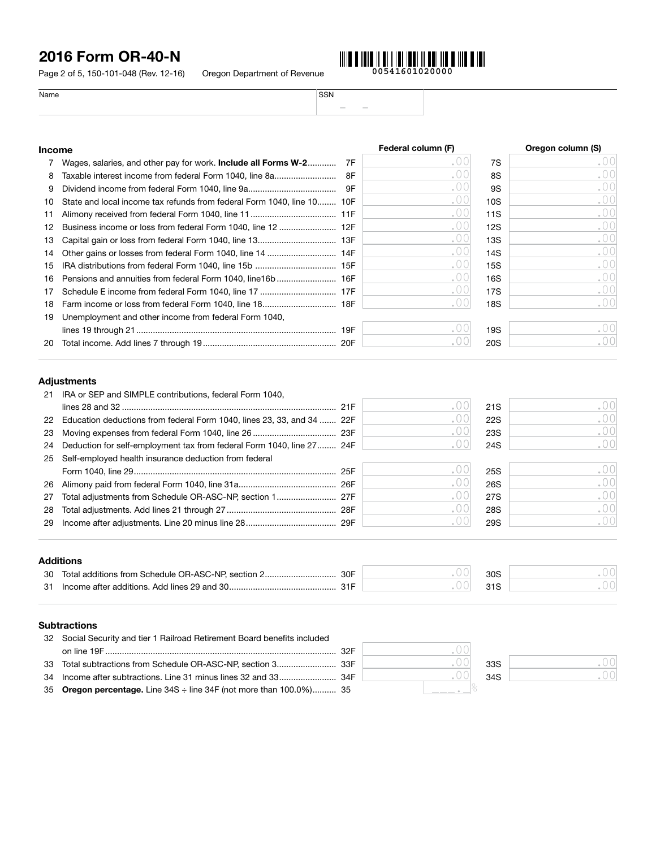Page 2 of 5, 150-101-048 (Rev. 12-16) Oregon Department of Revenue

|                         | ш |
|-------------------------|---|
| n Department of Revenue |   |



Name SSN – –

### Income **Income Federal column (F) Come COVERTIGATE:** Oregon column (S)

|     | Wages, salaries, and other pay for work. <b>Include all Forms W-2</b>  | -7F | . U ( | 7S  | .00  |
|-----|------------------------------------------------------------------------|-----|-------|-----|------|
| 8   | Taxable interest income from federal Form 1040, line 8a                | 8F  | .00   | 8S  | .00  |
| 9   |                                                                        | 9F  | . 00  | 9S  | .00  |
| 10  | State and local income tax refunds from federal Form 1040, line 10 10F |     | . UU  | 10S | .00  |
| 11  |                                                                        |     | . U U | 11S | .001 |
| 12  |                                                                        |     | .00   | 12S | .00  |
| 13. |                                                                        |     | .00   | 13S | .001 |
| 14  |                                                                        |     | . O C | 14S | .00  |
| 15  |                                                                        |     | . 00  | 15S | .00  |
| 16  |                                                                        |     | . O C | 16S | .00  |
| 17  |                                                                        |     | . U U | 17S | .001 |
| 18  |                                                                        |     | . ut  | 18S | .001 |
| 19  | Unemployment and other income from federal Form 1040,                  |     |       |     |      |
|     |                                                                        |     |       | 19S | .001 |
| 20  |                                                                        |     |       | 20S | .00  |

#### Adjustments

| 21 | IRA or SEP and SIMPLE contributions, federal Form 1040,                   |       |     |                  |
|----|---------------------------------------------------------------------------|-------|-----|------------------|
|    |                                                                           | . 00  | 21S | .00'             |
|    | 22 Education deductions from federal Form 1040, lines 23, 33, and 34  22F |       | 22S | .00 <sup>1</sup> |
| 23 |                                                                           |       | 23S | .00              |
| 24 | Deduction for self-employment tax from federal Form 1040, line 27 24F     |       | 24S | .001             |
| 25 | Self-employed health insurance deduction from federal                     |       |     |                  |
|    |                                                                           |       | 25S | .00              |
| 26 |                                                                           | . U ( | 26S | .00              |
| 27 |                                                                           | .uu   | 27S | .00              |
| 28 |                                                                           |       | 28S | .00 <sup>1</sup> |
|    |                                                                           |       | 29S | . 001            |
|    |                                                                           |       |     |                  |

### Additions

| - 30 | Total additions from Schedule OR-ASC-NP, section 2.<br>30F | 30S     |  |
|------|------------------------------------------------------------|---------|--|
| -31  | Income after additions. Add lines 29 and 30.               | $0 + 0$ |  |

### **Subtractions**

| 32 Social Security and tier 1 Railroad Retirement Board benefits included |      |     |
|---------------------------------------------------------------------------|------|-----|
|                                                                           | 32 F |     |
|                                                                           |      | 33S |
|                                                                           |      | 34S |
| 35 Oregon percentage. Line 34S ÷ line 34F (not more than 100.0%) 35       |      |     |

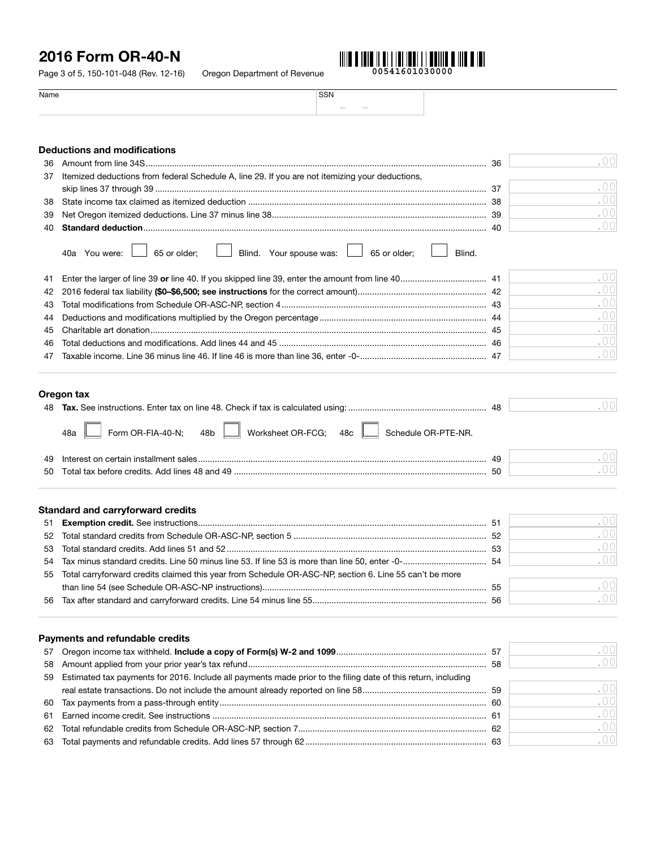Page 3 of 5, 150-101-048 (Rev. 12-16) Oregon Department of Revenue



.00

| Name | <b>SSN</b> |  |
|------|------------|--|
|      | $\sim$     |  |

### Deductions and modifications 36 Amount from line 34S............................................................................................................................................... 36

| 37 | Itemized deductions from federal Schedule A, line 29. If you are not itemizing your deductions, |           |
|----|-------------------------------------------------------------------------------------------------|-----------|
|    | -37                                                                                             | .00       |
| 38 |                                                                                                 | .00       |
| 39 |                                                                                                 | .00       |
| 40 |                                                                                                 | . 00      |
|    | Blind. Your spouse was: 4 65 or older;<br>40a You were:<br>$\Box$ 65 or older:<br>Blind.        |           |
| 41 |                                                                                                 | .00       |
| 42 |                                                                                                 | .00       |
| 43 |                                                                                                 | .00       |
| 44 |                                                                                                 | .00       |
| 45 |                                                                                                 | .00       |
| 46 |                                                                                                 | .00       |
| 47 |                                                                                                 | $\bigcap$ |
|    |                                                                                                 |           |

### Oregon tax

|                          |                                  |                     | 48 |  |
|--------------------------|----------------------------------|---------------------|----|--|
| Form OR-FIA-40-N;<br>48a | Worksheet OR-FCG; 48c    <br>48b | Schedule OR-PTE-NR. |    |  |

| -49 | ЛC        |  |
|-----|-----------|--|
| -50 | - -<br>┚┺ |  |

#### Standard and carryforward credits

|                                                                                                           | -51 | $\Gamma$ ( ) ( ) |
|-----------------------------------------------------------------------------------------------------------|-----|------------------|
|                                                                                                           |     | .001             |
|                                                                                                           |     | .001             |
|                                                                                                           |     | .001             |
| 55 Total carryforward credits claimed this year from Schedule OR-ASC-NP, section 6. Line 55 can't be more |     |                  |
|                                                                                                           |     | .001             |
|                                                                                                           | 56  | $\bigcap$        |
|                                                                                                           |     |                  |

|     | Payments and refundable credits                                                                               |         |
|-----|---------------------------------------------------------------------------------------------------------------|---------|
|     |                                                                                                               | ( ) ( ) |
| 58  |                                                                                                               | .00     |
| 59  | Estimated tax payments for 2016. Include all payments made prior to the filing date of this return, including |         |
|     |                                                                                                               | .001    |
| 60  |                                                                                                               | .001    |
| 61. |                                                                                                               | .001    |
| 62  |                                                                                                               | .00     |
|     |                                                                                                               | .001    |
|     |                                                                                                               |         |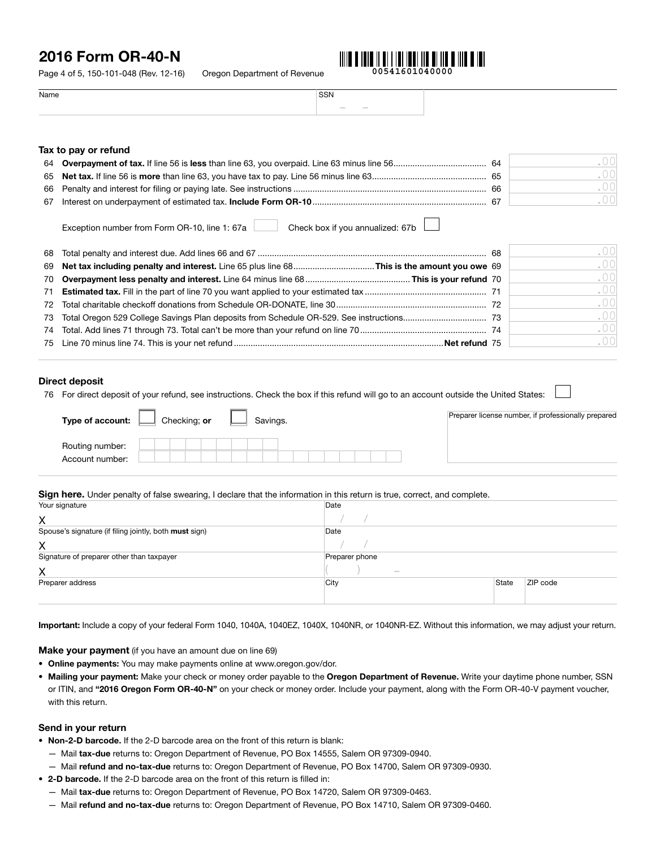Page 4 of 5, 150-101-048 (Rev. 12-16) Oregon Department of Revenue



Name SSN – –

#### Tax to pay or refund

|    | -66 |  |
|----|-----|--|
| 67 | 67  |  |

Exception number from Form OR-10, line 1: 67a Check box if you annualized: 67b

|  | - 00 |
|--|------|
|  | .00  |
|  | .00  |
|  | .00  |
|  | .00  |
|  | .00  |
|  | .00  |
|  | .00  |

#### Direct deposit

76 For direct deposit of your refund, see instructions. Check the box if this refund will go to an account outside the United States:

| Type of account:                   | Savings.<br>Checking; or | Preparer license number, if professionally prepared |
|------------------------------------|--------------------------|-----------------------------------------------------|
| Routing number:<br>Account number: |                          |                                                     |

#### Sign here. Under penalty of false swearing, I declare that the information in this return is true, correct, and complete.

| Your signature                                         | Date           |       |          |  |
|--------------------------------------------------------|----------------|-------|----------|--|
| X                                                      |                |       |          |  |
| Spouse's signature (if filing jointly, both must sign) | Date           |       |          |  |
| X                                                      |                |       |          |  |
| Signature of preparer other than taxpayer              | Preparer phone |       |          |  |
| X                                                      | $\sim$         |       |          |  |
| Preparer address                                       | City           | State | ZIP code |  |
|                                                        |                |       |          |  |

Important: Include a copy of your federal Form 1040, 1040A, 1040EZ, 1040X, 1040NR, or 1040NR-EZ. Without this information, we may adjust your return.

Make your payment (if you have an amount due on line 69)

- Online payments: You may make payments online at www.oregon.gov/dor.
- Mailing your payment: Make your check or money order payable to the Oregon Department of Revenue. Write your daytime phone number, SSN or ITIN, and "2016 Oregon Form OR-40-N" on your check or money order. Include your payment, along with the Form OR-40-V payment voucher, with this return.

#### Send in your return

- Non-2-D barcode. If the 2-D barcode area on the front of this return is blank:
	- Mail tax-due returns to: Oregon Department of Revenue, PO Box 14555, Salem OR 97309-0940.
	- Mail refund and no-tax-due returns to: Oregon Department of Revenue, PO Box 14700, Salem OR 97309-0930.
- 2-D barcode. If the 2-D barcode area on the front of this return is filled in:
	- Mail tax-due returns to: Oregon Department of Revenue, PO Box 14720, Salem OR 97309-0463.
	- Mail refund and no-tax-due returns to: Oregon Department of Revenue, PO Box 14710, Salem OR 97309-0460.